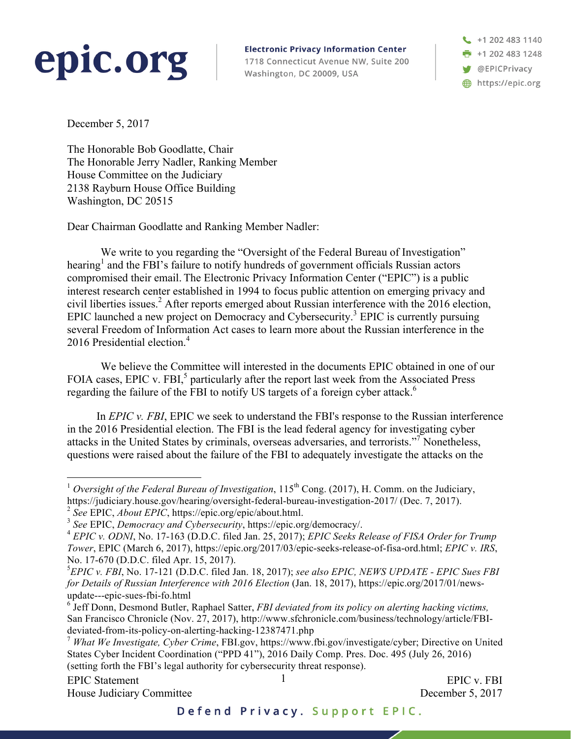## epic.org

**Electronic Privacy Information Center** 1718 Connecticut Avenue NW, Suite 200 Washington, DC 20009, USA

+1 202 483 1140 **n** +1 202 483 1248 **W** @EPICPrivacy https://epic.org

December 5, 2017

The Honorable Bob Goodlatte, Chair The Honorable Jerry Nadler, Ranking Member House Committee on the Judiciary 2138 Rayburn House Office Building Washington, DC 20515

Dear Chairman Goodlatte and Ranking Member Nadler:

We write to you regarding the "Oversight of the Federal Bureau of Investigation" hearing<sup>1</sup> and the FBI's failure to notify hundreds of government officials Russian actors compromised their email. The Electronic Privacy Information Center ("EPIC") is a public interest research center established in 1994 to focus public attention on emerging privacy and civil liberties issues.<sup>2</sup> After reports emerged about Russian interference with the 2016 election, EPIC launched a new project on Democracy and Cybersecurity.<sup>3</sup> EPIC is currently pursuing several Freedom of Information Act cases to learn more about the Russian interference in the 2016 Presidential election.<sup>4</sup>

We believe the Committee will interested in the documents EPIC obtained in one of our FOIA cases, EPIC v. FBI,<sup>5</sup> particularly after the report last week from the Associated Press regarding the failure of the FBI to notify US targets of a foreign cyber attack.<sup>6</sup>

In *EPIC v. FBI*, EPIC we seek to understand the FBI's response to the Russian interference in the 2016 Presidential election. The FBI is the lead federal agency for investigating cyber attacks in the United States by criminals, overseas adversaries, and terrorists."<sup>7</sup> Nonetheless, questions were raised about the failure of the FBI to adequately investigate the attacks on the

<sup>&</sup>lt;sup>1</sup> *Oversight of the Federal Bureau of Investigation*,  $115<sup>th</sup>$  Cong. (2017), H. Comm. on the Judiciary, https://judiciary.house.gov/hearing/oversight-federal-bureau-investigation-2017/ (Dec. 7, 2017).

<sup>2</sup> *See* EPIC, *About EPIC*, https://epic.org/epic/about.html.

<sup>3</sup> *See* EPIC, *Democracy and Cybersecurity*, https://epic.org/democracy/.

<sup>4</sup> *EPIC v. ODNI*, No. 17-163 (D.D.C. filed Jan. 25, 2017); *EPIC Seeks Release of FISA Order for Trump Tower*, EPIC (March 6, 2017), https://epic.org/2017/03/epic-seeks-release-of-fisa-ord.html; *EPIC v. IRS*, No. 17-670 (D.D.C. filed Apr. 15, 2017).

<sup>5</sup> *EPIC v. FBI*, No. 17-121 (D.D.C. filed Jan. 18, 2017); *see also EPIC, NEWS UPDATE - EPIC Sues FBI for Details of Russian Interference with 2016 Election* (Jan. 18, 2017), https://epic.org/2017/01/newsupdate---epic-sues-fbi-fo.html

<sup>6</sup> Jeff Donn, Desmond Butler, Raphael Satter, *FBI deviated from its policy on alerting hacking victims,*  San Francisco Chronicle (Nov. 27, 2017), http://www.sfchronicle.com/business/technology/article/FBIdeviated-from-its-policy-on-alerting-hacking-12387471.php

<sup>7</sup> *What We Investigate, Cyber Crime*, FBI.gov, https://www.fbi.gov/investigate/cyber; Directive on United States Cyber Incident Coordination ("PPD 41"), 2016 Daily Comp. Pres. Doc. 495 (July 26, 2016) (setting forth the FBI's legal authority for cybersecurity threat response).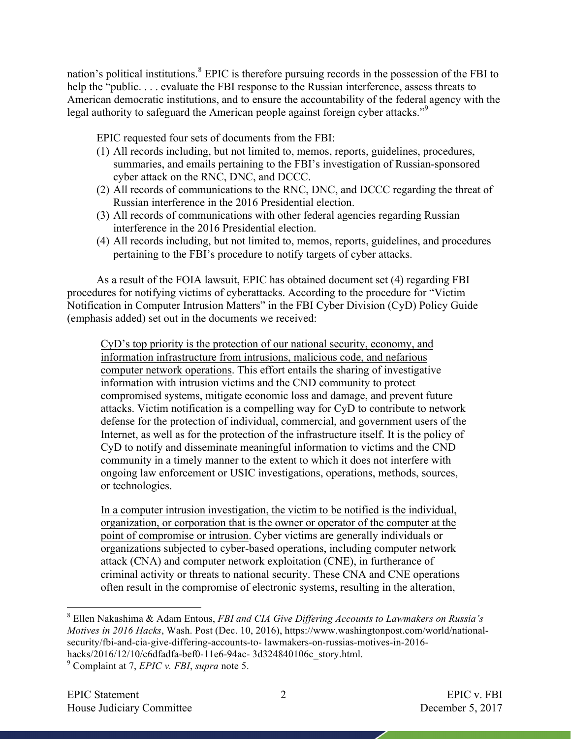nation's political institutions.<sup>8</sup> EPIC is therefore pursuing records in the possession of the FBI to help the "public.... evaluate the FBI response to the Russian interference, assess threats to American democratic institutions, and to ensure the accountability of the federal agency with the legal authority to safeguard the American people against foreign cyber attacks."<sup>9</sup>

EPIC requested four sets of documents from the FBI:

- (1) All records including, but not limited to, memos, reports, guidelines, procedures, summaries, and emails pertaining to the FBI's investigation of Russian-sponsored cyber attack on the RNC, DNC, and DCCC.
- (2) All records of communications to the RNC, DNC, and DCCC regarding the threat of Russian interference in the 2016 Presidential election.
- (3) All records of communications with other federal agencies regarding Russian interference in the 2016 Presidential election.
- (4) All records including, but not limited to, memos, reports, guidelines, and procedures pertaining to the FBI's procedure to notify targets of cyber attacks.

As a result of the FOIA lawsuit, EPIC has obtained document set (4) regarding FBI procedures for notifying victims of cyberattacks. According to the procedure for "Victim Notification in Computer Intrusion Matters" in the FBI Cyber Division (CyD) Policy Guide (emphasis added) set out in the documents we received:

CyD's top priority is the protection of our national security, economy, and information infrastructure from intrusions, malicious code, and nefarious computer network operations. This effort entails the sharing of investigative information with intrusion victims and the CND community to protect compromised systems, mitigate economic loss and damage, and prevent future attacks. Victim notification is a compelling way for CyD to contribute to network defense for the protection of individual, commercial, and government users of the Internet, as well as for the protection of the infrastructure itself. It is the policy of CyD to notify and disseminate meaningful information to victims and the CND community in a timely manner to the extent to which it does not interfere with ongoing law enforcement or USIC investigations, operations, methods, sources, or technologies.

In a computer intrusion investigation, the victim to be notified is the individual, organization, or corporation that is the owner or operator of the computer at the point of compromise or intrusion. Cyber victims are generally individuals or organizations subjected to cyber-based operations, including computer network attack (CNA) and computer network exploitation (CNE), in furtherance of criminal activity or threats to national security. These CNA and CNE operations often result in the compromise of electronic systems, resulting in the alteration,

 <sup>8</sup> Ellen Nakashima & Adam Entous, *FBI and CIA Give Differing Accounts to Lawmakers on Russia's Motives in 2016 Hacks*, Wash. Post (Dec. 10, 2016), https://www.washingtonpost.com/world/nationalsecurity/fbi-and-cia-give-differing-accounts-to- lawmakers-on-russias-motives-in-2016 hacks/2016/12/10/c6dfadfa-bef0-11e6-94ac- 3d324840106c\_story.html.

<sup>9</sup> Complaint at 7, *EPIC v. FBI*, *supra* note 5.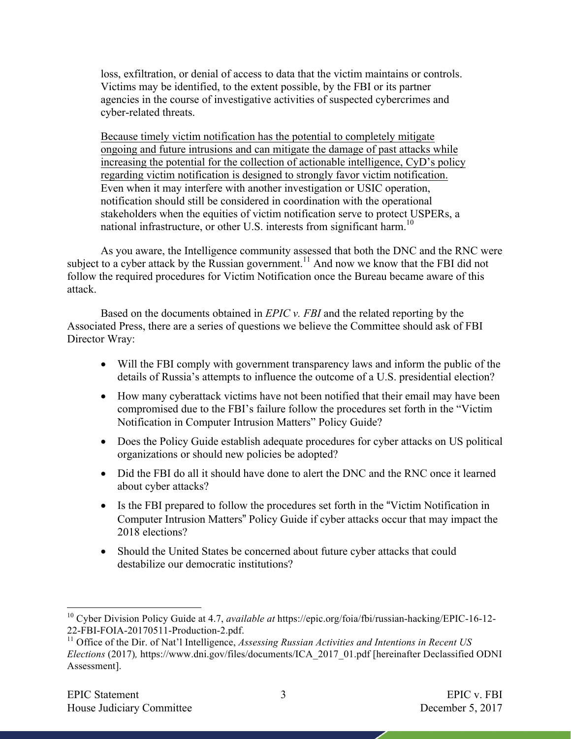loss, exfiltration, or denial of access to data that the victim maintains or controls. Victims may be identified, to the extent possible, by the FBI or its partner agencies in the course of investigative activities of suspected cybercrimes and cyber-related threats.

Because timely victim notification has the potential to completely mitigate ongoing and future intrusions and can mitigate the damage of past attacks while increasing the potential for the collection of actionable intelligence, CyD's policy regarding victim notification is designed to strongly favor victim notification. Even when it may interfere with another investigation or USIC operation, notification should still be considered in coordination with the operational stakeholders when the equities of victim notification serve to protect USPERs, a national infrastructure, or other U.S. interests from significant harm.<sup>10</sup>

As you aware, the Intelligence community assessed that both the DNC and the RNC were subject to a cyber attack by the Russian government.<sup>11</sup> And now we know that the FBI did not follow the required procedures for Victim Notification once the Bureau became aware of this attack.

Based on the documents obtained in *EPIC v. FBI* and the related reporting by the Associated Press, there are a series of questions we believe the Committee should ask of FBI Director Wray:

- Will the FBI comply with government transparency laws and inform the public of the details of Russia's attempts to influence the outcome of a U.S. presidential election?
- How many cyberattack victims have not been notified that their email may have been compromised due to the FBI's failure follow the procedures set forth in the "Victim Notification in Computer Intrusion Matters" Policy Guide?
- Does the Policy Guide establish adequate procedures for cyber attacks on US political organizations or should new policies be adopted?
- Did the FBI do all it should have done to alert the DNC and the RNC once it learned about cyber attacks?
- Is the FBI prepared to follow the procedures set forth in the "Victim Notification in Computer Intrusion Matters" Policy Guide if cyber attacks occur that may impact the 2018 elections?
- Should the United States be concerned about future cyber attacks that could destabilize our democratic institutions?

 <sup>10</sup> Cyber Division Policy Guide at 4.7, *available at* https://epic.org/foia/fbi/russian-hacking/EPIC-16-12- 22-FBI-FOIA-20170511-Production-2.pdf.<br><sup>11</sup> Office of the Dir. of Nat'l Intelligence, *Assessing Russian Activities and Intentions in Recent US* 

*Elections* (2017)*,* https://www.dni.gov/files/documents/ICA\_2017\_01.pdf [hereinafter Declassified ODNI Assessment].